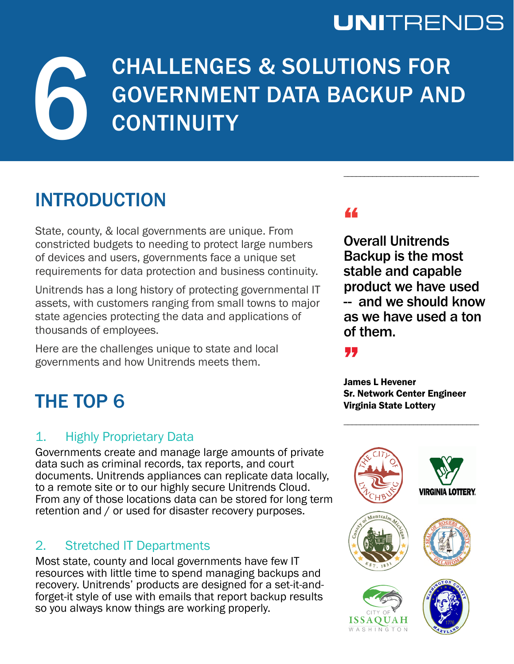## **UNITRENDS**

# CHALLENGES & SOLUTIONS FOR GOVERNMENT DATA BACKUP AND **CONTINUITY** CHALLENGES & SOLUTIONS FOR GOVERNMENT DATA BACKUP AND CONTINUITY

### INTRODUCTION

State, county, & local governments are unique. From constricted budgets to needing to protect large numbers of devices and users, governments face a unique set requirements for data protection and business continuity.

Unitrends has a long history of protecting governmental IT assets, with customers ranging from small towns to major state agencies protecting the data and applications of thousands of employees.

Here are the challenges unique to state and local governments and how Unitrends meets them.

### THE TOP 6

#### 1. Highly Proprietary Data

Governments create and manage large amounts of private data such as criminal records, tax reports, and court documents. Unitrends appliances can replicate data locally, to a remote site or to our highly secure Unitrends Cloud. From any of those locations data can be stored for long term retention and / or used for disaster recovery purposes.

#### 2. Stretched IT Departments

Most state, county and local governments have few IT resources with little time to spend managing backups and recovery. Unitrends' products are designed for a set-it-andforget-it style of use with emails that report backup results so you always know things are working properly.

#### "

Overall Unitrends Backup is the most stable and capable product we have used -- and we should know as we have used a ton of them.

"

James L Hevener Sr. Network Center Engineer Virginia State Lottery

\_\_\_\_\_\_\_\_\_\_\_\_\_\_\_\_\_\_\_\_\_\_\_\_\_\_\_\_\_\_\_\_\_